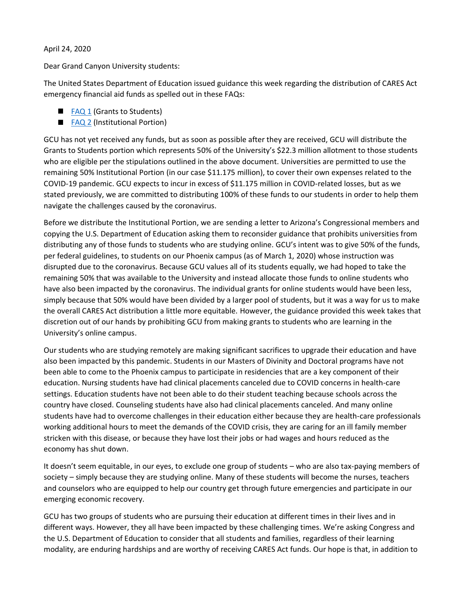## April 24, 2020

Dear Grand Canyon University students:

The United States Department of Education issued guidance this week regarding the distribution of CARES Act emergency financial aid funds as spelled out in these FAQs:

- [FAQ 1](https://www2.ed.gov/about/offices/list/ope/heerfstudentfaqs.pdf?utm_source=Iterable&utm_medium=email&utm_campaign=campaign_1163622&cid=db&source=ams&sourceId=1827876) (Grants to Students)
- **[FAQ 2](https://www2.ed.gov/about/offices/list/ope/heerfinstitutionalfaqs.pdf) (Institutional Portion)**

GCU has not yet received any funds, but as soon as possible after they are received, GCU will distribute the Grants to Students portion which represents 50% of the University's \$22.3 million allotment to those students who are eligible per the stipulations outlined in the above document. Universities are permitted to use the remaining 50% Institutional Portion (in our case \$11.175 million), to cover their own expenses related to the COVID-19 pandemic. GCU expects to incur in excess of \$11.175 million in COVID-related losses, but as we stated previously, we are committed to distributing 100% of these funds to our students in order to help them navigate the challenges caused by the coronavirus.

Before we distribute the Institutional Portion, we are sending a letter to Arizona's Congressional members and copying the U.S. Department of Education asking them to reconsider guidance that prohibits universities from distributing any of those funds to students who are studying online. GCU's intent was to give 50% of the funds, per federal guidelines, to students on our Phoenix campus (as of March 1, 2020) whose instruction was disrupted due to the coronavirus. Because GCU values all of its students equally, we had hoped to take the remaining 50% that was available to the University and instead allocate those funds to online students who have also been impacted by the coronavirus. The individual grants for online students would have been less, simply because that 50% would have been divided by a larger pool of students, but it was a way for us to make the overall CARES Act distribution a little more equitable. However, the guidance provided this week takes that discretion out of our hands by prohibiting GCU from making grants to students who are learning in the University's online campus.

Our students who are studying remotely are making significant sacrifices to upgrade their education and have also been impacted by this pandemic. Students in our Masters of Divinity and Doctoral programs have not been able to come to the Phoenix campus to participate in residencies that are a key component of their education. Nursing students have had clinical placements canceled due to COVID concerns in health-care settings. Education students have not been able to do their student teaching because schools across the country have closed. Counseling students have also had clinical placements canceled. And many online students have had to overcome challenges in their education either because they are health-care professionals working additional hours to meet the demands of the COVID crisis, they are caring for an ill family member stricken with this disease, or because they have lost their jobs or had wages and hours reduced as the economy has shut down.

It doesn't seem equitable, in our eyes, to exclude one group of students – who are also tax-paying members of society – simply because they are studying online. Many of these students will become the nurses, teachers and counselors who are equipped to help our country get through future emergencies and participate in our emerging economic recovery.

GCU has two groups of students who are pursuing their education at different times in their lives and in different ways. However, they all have been impacted by these challenging times. We're asking Congress and the U.S. Department of Education to consider that all students and families, regardless of their learning modality, are enduring hardships and are worthy of receiving CARES Act funds. Our hope is that, in addition to